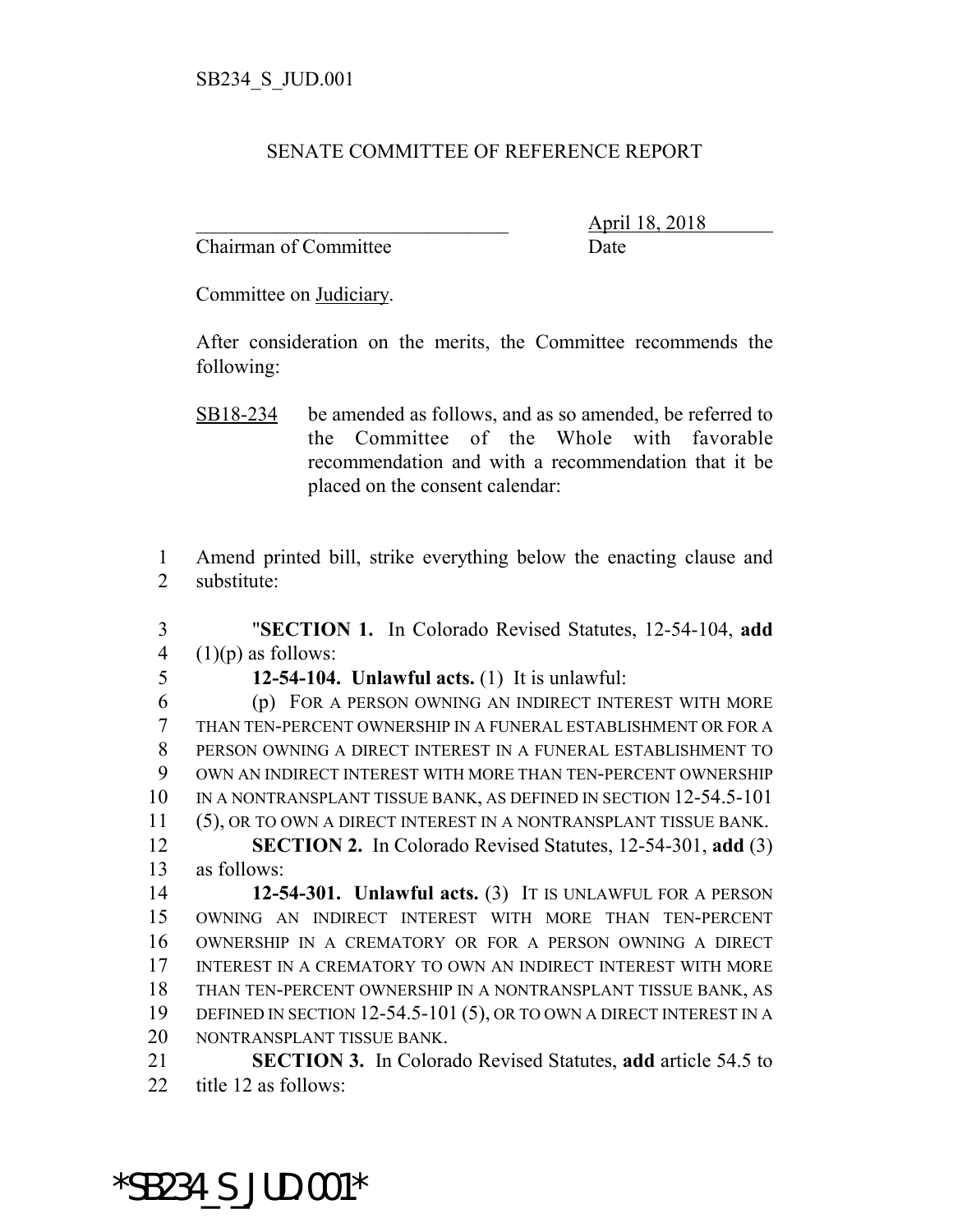## SENATE COMMITTEE OF REFERENCE REPORT

Chairman of Committee Date

\_\_\_\_\_\_\_\_\_\_\_\_\_\_\_\_\_\_\_\_\_\_\_\_\_\_\_\_\_\_\_ April 18, 2018

Committee on Judiciary.

After consideration on the merits, the Committee recommends the following:

1 Amend printed bill, strike everything below the enacting clause and 2 substitute:

3 "**SECTION 1.** In Colorado Revised Statutes, 12-54-104, **add** 4  $(1)(p)$  as follows:

5 **12-54-104. Unlawful acts.** (1) It is unlawful:

 (p) FOR A PERSON OWNING AN INDIRECT INTEREST WITH MORE THAN TEN-PERCENT OWNERSHIP IN A FUNERAL ESTABLISHMENT OR FOR A PERSON OWNING A DIRECT INTEREST IN A FUNERAL ESTABLISHMENT TO OWN AN INDIRECT INTEREST WITH MORE THAN TEN-PERCENT OWNERSHIP IN A NONTRANSPLANT TISSUE BANK, AS DEFINED IN SECTION 12-54.5-101 11 (5), OR TO OWN A DIRECT INTEREST IN A NONTRANSPLANT TISSUE BANK. **SECTION 2.** In Colorado Revised Statutes, 12-54-301, **add** (3) as follows: **12-54-301. Unlawful acts.** (3) IT IS UNLAWFUL FOR A PERSON OWNING AN INDIRECT INTEREST WITH MORE THAN TEN-PERCENT OWNERSHIP IN A CREMATORY OR FOR A PERSON OWNING A DIRECT INTEREST IN A CREMATORY TO OWN AN INDIRECT INTEREST WITH MORE THAN TEN-PERCENT OWNERSHIP IN A NONTRANSPLANT TISSUE BANK, AS DEFINED IN SECTION 12-54.5-101 (5), OR TO OWN A DIRECT INTEREST IN A NONTRANSPLANT TISSUE BANK.

21 **SECTION 3.** In Colorado Revised Statutes, **add** article 54.5 to 22 title 12 as follows:

\*SB234\_S\_JUD.001\*

SB18-234 be amended as follows, and as so amended, be referred to the Committee of the Whole with favorable recommendation and with a recommendation that it be placed on the consent calendar: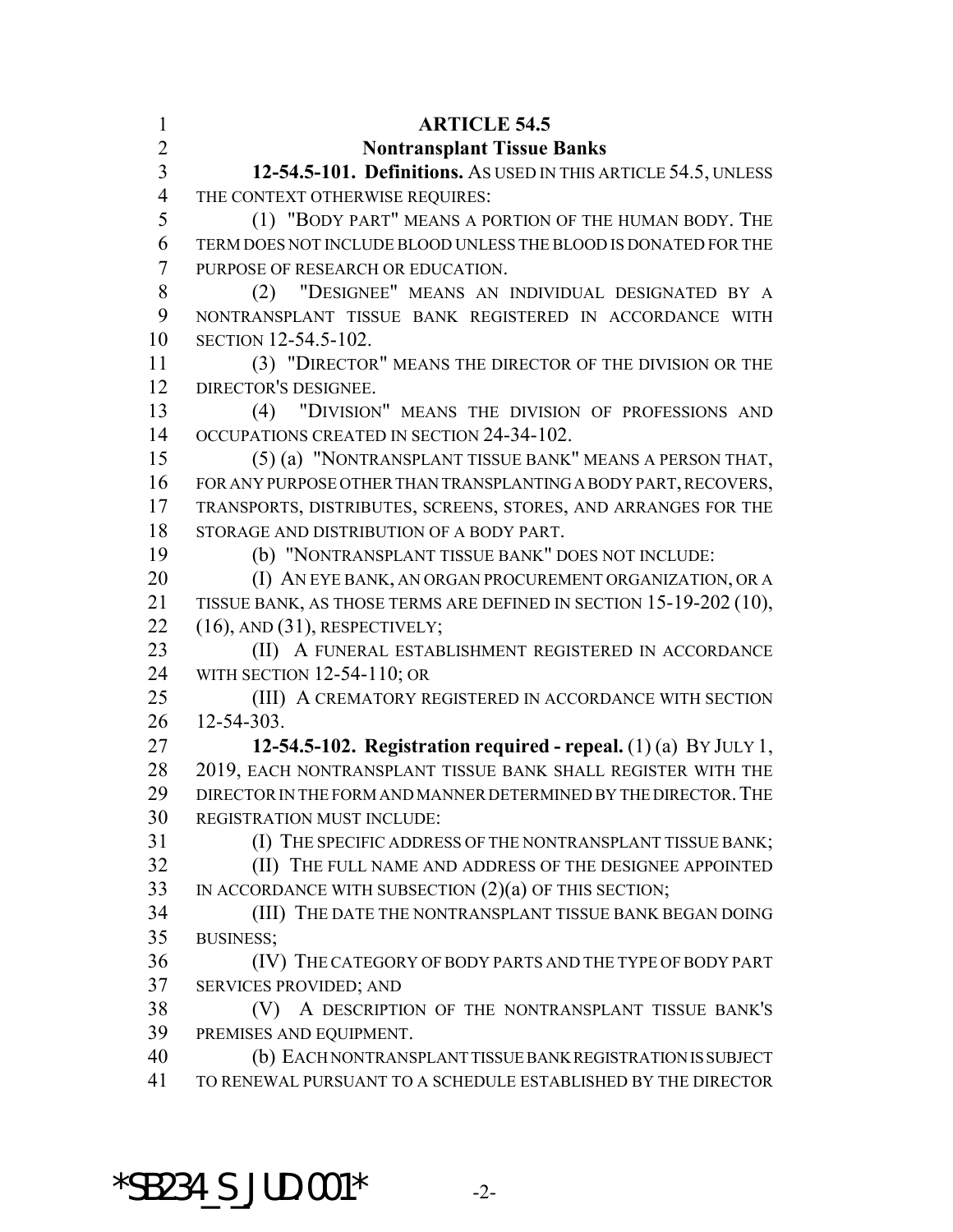| $\mathbf{1}$<br>$\overline{2}$ | <b>ARTICLE 54.5</b><br><b>Nontransplant Tissue Banks</b>                       |
|--------------------------------|--------------------------------------------------------------------------------|
| 3                              | 12-54.5-101. Definitions. AS USED IN THIS ARTICLE 54.5, UNLESS                 |
| $\overline{4}$                 | THE CONTEXT OTHERWISE REQUIRES:                                                |
| 5                              | (1) "BODY PART" MEANS A PORTION OF THE HUMAN BODY. THE                         |
| 6                              | TERM DOES NOT INCLUDE BLOOD UNLESS THE BLOOD IS DONATED FOR THE                |
| $\overline{7}$                 | PURPOSE OF RESEARCH OR EDUCATION.                                              |
| 8                              | (2) "DESIGNEE" MEANS AN INDIVIDUAL DESIGNATED BY A                             |
| 9                              | NONTRANSPLANT TISSUE BANK REGISTERED IN ACCORDANCE WITH                        |
| 10                             | SECTION 12-54.5-102.                                                           |
| 11                             | (3) "DIRECTOR" MEANS THE DIRECTOR OF THE DIVISION OR THE                       |
| 12                             | DIRECTOR'S DESIGNEE.                                                           |
| 13                             | (4) "DIVISION" MEANS THE DIVISION OF PROFESSIONS AND                           |
| 14                             | OCCUPATIONS CREATED IN SECTION 24-34-102.                                      |
| 15                             | (5) (a) "NONTRANSPLANT TISSUE BANK" MEANS A PERSON THAT,                       |
| 16                             | FOR ANY PURPOSE OTHER THAN TRANSPLANTING A BODY PART, RECOVERS,                |
| 17                             | TRANSPORTS, DISTRIBUTES, SCREENS, STORES, AND ARRANGES FOR THE                 |
| 18                             | STORAGE AND DISTRIBUTION OF A BODY PART.                                       |
| 19                             | (b) "NONTRANSPLANT TISSUE BANK" DOES NOT INCLUDE:                              |
| 20                             | (I) AN EYE BANK, AN ORGAN PROCUREMENT ORGANIZATION, OR A                       |
| 21                             | TISSUE BANK, AS THOSE TERMS ARE DEFINED IN SECTION 15-19-202 (10),             |
| 22                             | $(16)$ , AND $(31)$ , RESPECTIVELY;                                            |
| 23                             | (II) A FUNERAL ESTABLISHMENT REGISTERED IN ACCORDANCE                          |
| 24                             | WITH SECTION 12-54-110; OR                                                     |
| 25                             | (III) A CREMATORY REGISTERED IN ACCORDANCE WITH SECTION                        |
| 26                             | 12-54-303.                                                                     |
| 27                             | 12-54.5-102. Registration required - repeal. $(1)$ (a) BY JULY 1,              |
| 28                             | 2019, EACH NONTRANSPLANT TISSUE BANK SHALL REGISTER WITH THE                   |
| 29                             | DIRECTOR IN THE FORM AND MANNER DETERMINED BY THE DIRECTOR. THE                |
| 30                             | REGISTRATION MUST INCLUDE:                                                     |
| 31                             | (I) THE SPECIFIC ADDRESS OF THE NONTRANSPLANT TISSUE BANK;                     |
| 32                             | (II) THE FULL NAME AND ADDRESS OF THE DESIGNEE APPOINTED                       |
| 33                             | IN ACCORDANCE WITH SUBSECTION $(2)(a)$ OF THIS SECTION;                        |
| 34                             | (III) THE DATE THE NONTRANSPLANT TISSUE BANK BEGAN DOING                       |
| 35                             | <b>BUSINESS;</b>                                                               |
| 36<br>37                       | (IV) THE CATEGORY OF BODY PARTS AND THE TYPE OF BODY PART                      |
| 38                             | SERVICES PROVIDED; AND<br>(V) A DESCRIPTION OF THE NONTRANSPLANT TISSUE BANK'S |
| 39                             | PREMISES AND EQUIPMENT.                                                        |
| 40                             | (b) EACH NONTRANSPLANT TISSUE BANK REGISTRATION IS SUBJECT                     |
| 41                             | TO RENEWAL PURSUANT TO A SCHEDULE ESTABLISHED BY THE DIRECTOR                  |
|                                |                                                                                |

 $*$ SB234\_S\_JUD.001 $*$  -2-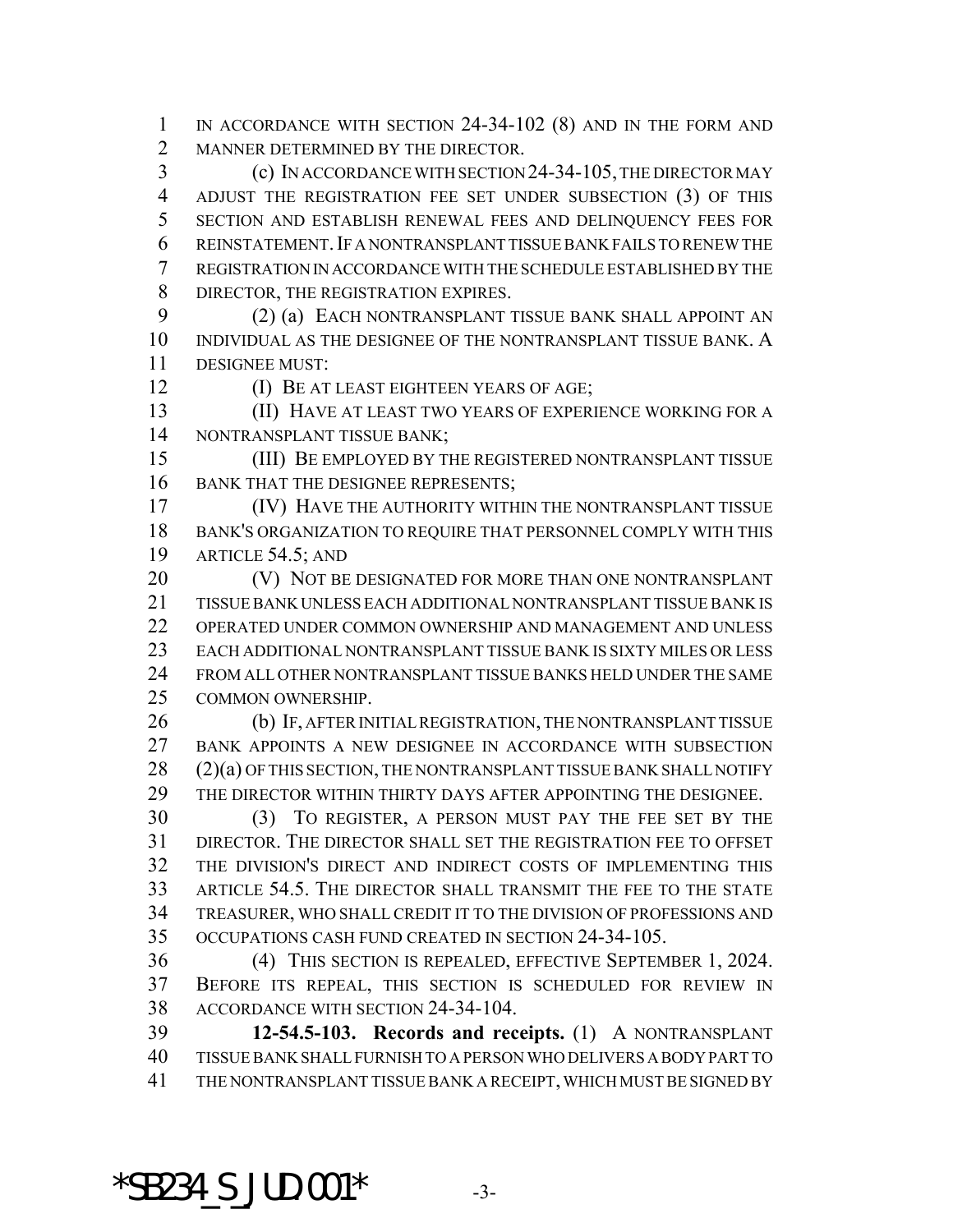IN ACCORDANCE WITH SECTION 24-34-102 (8) AND IN THE FORM AND MANNER DETERMINED BY THE DIRECTOR.

 (c) IN ACCORDANCE WITH SECTION 24-34-105, THE DIRECTOR MAY ADJUST THE REGISTRATION FEE SET UNDER SUBSECTION (3) OF THIS SECTION AND ESTABLISH RENEWAL FEES AND DELINQUENCY FEES FOR REINSTATEMENT.IF A NONTRANSPLANT TISSUE BANK FAILS TO RENEW THE REGISTRATION IN ACCORDANCE WITH THE SCHEDULE ESTABLISHED BY THE 8 DIRECTOR, THE REGISTRATION EXPIRES.

 (2) (a) EACH NONTRANSPLANT TISSUE BANK SHALL APPOINT AN INDIVIDUAL AS THE DESIGNEE OF THE NONTRANSPLANT TISSUE BANK. A DESIGNEE MUST:

(I) BE AT LEAST EIGHTEEN YEARS OF AGE;

 (II) HAVE AT LEAST TWO YEARS OF EXPERIENCE WORKING FOR A NONTRANSPLANT TISSUE BANK;

 (III) BE EMPLOYED BY THE REGISTERED NONTRANSPLANT TISSUE 16 BANK THAT THE DESIGNEE REPRESENTS;

 (IV) HAVE THE AUTHORITY WITHIN THE NONTRANSPLANT TISSUE BANK'S ORGANIZATION TO REQUIRE THAT PERSONNEL COMPLY WITH THIS ARTICLE 54.5; AND

**(V) NOT BE DESIGNATED FOR MORE THAN ONE NONTRANSPLANT**  TISSUE BANK UNLESS EACH ADDITIONAL NONTRANSPLANT TISSUE BANK IS OPERATED UNDER COMMON OWNERSHIP AND MANAGEMENT AND UNLESS EACH ADDITIONAL NONTRANSPLANT TISSUE BANK IS SIXTY MILES OR LESS FROM ALL OTHER NONTRANSPLANT TISSUE BANKS HELD UNDER THE SAME COMMON OWNERSHIP.

 (b) IF, AFTER INITIAL REGISTRATION, THE NONTRANSPLANT TISSUE BANK APPOINTS A NEW DESIGNEE IN ACCORDANCE WITH SUBSECTION (2)(a) OF THIS SECTION, THE NONTRANSPLANT TISSUE BANK SHALL NOTIFY THE DIRECTOR WITHIN THIRTY DAYS AFTER APPOINTING THE DESIGNEE.

 (3) TO REGISTER, A PERSON MUST PAY THE FEE SET BY THE DIRECTOR. THE DIRECTOR SHALL SET THE REGISTRATION FEE TO OFFSET THE DIVISION'S DIRECT AND INDIRECT COSTS OF IMPLEMENTING THIS ARTICLE 54.5. THE DIRECTOR SHALL TRANSMIT THE FEE TO THE STATE TREASURER, WHO SHALL CREDIT IT TO THE DIVISION OF PROFESSIONS AND OCCUPATIONS CASH FUND CREATED IN SECTION 24-34-105.

 (4) THIS SECTION IS REPEALED, EFFECTIVE SEPTEMBER 1, 2024. BEFORE ITS REPEAL, THIS SECTION IS SCHEDULED FOR REVIEW IN ACCORDANCE WITH SECTION 24-34-104.

 **12-54.5-103. Records and receipts.** (1) A NONTRANSPLANT TISSUE BANK SHALL FURNISH TO A PERSON WHO DELIVERS A BODY PART TO THE NONTRANSPLANT TISSUE BANK A RECEIPT, WHICH MUST BE SIGNED BY

 $*$ SB234 S JUD.001 $*$  -3-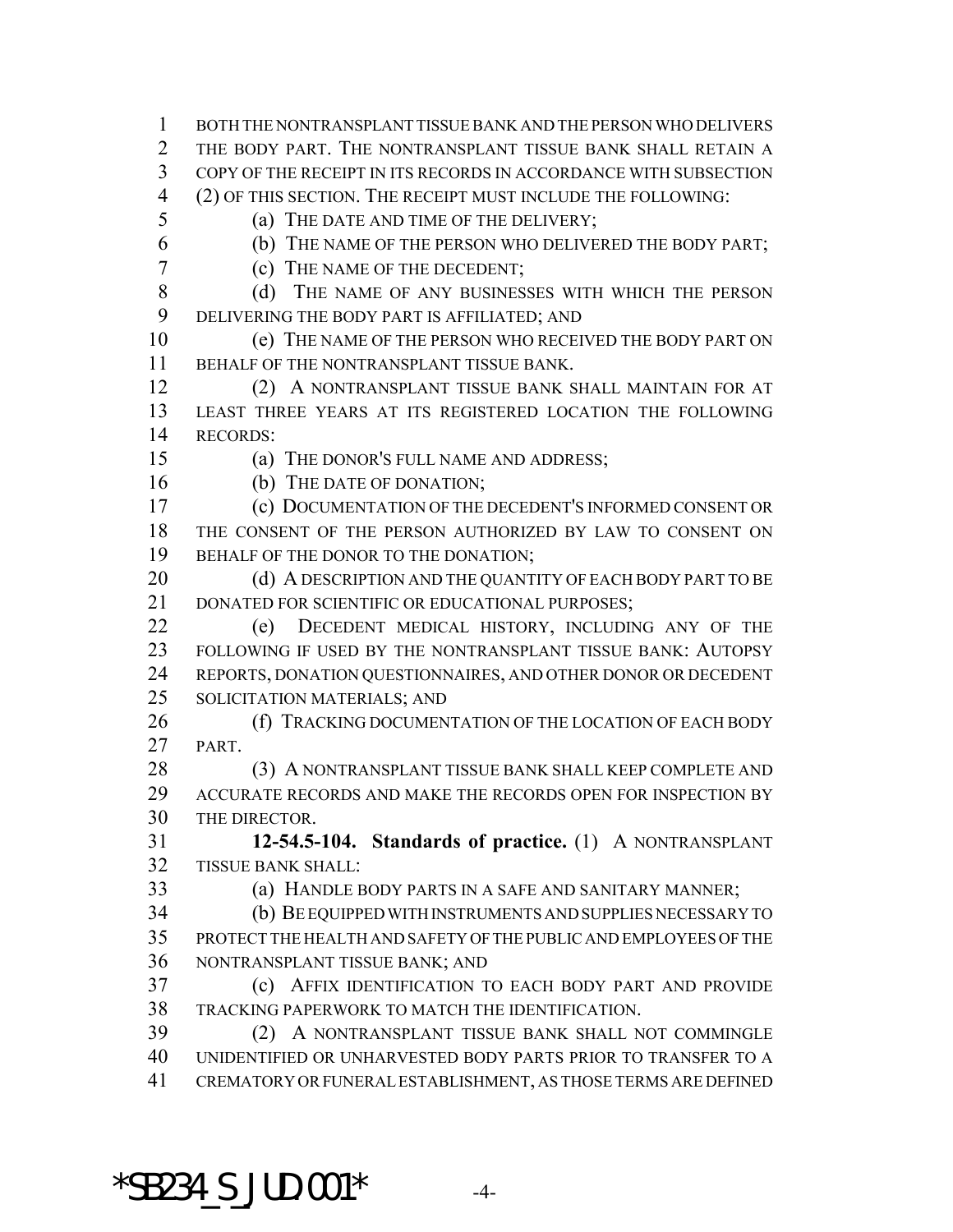BOTH THE NONTRANSPLANT TISSUE BANK AND THE PERSON WHO DELIVERS 2 THE BODY PART. THE NONTRANSPLANT TISSUE BANK SHALL RETAIN A COPY OF THE RECEIPT IN ITS RECORDS IN ACCORDANCE WITH SUBSECTION (2) OF THIS SECTION. THE RECEIPT MUST INCLUDE THE FOLLOWING:

(a) THE DATE AND TIME OF THE DELIVERY;

(b) THE NAME OF THE PERSON WHO DELIVERED THE BODY PART;

(c) THE NAME OF THE DECEDENT;

8 (d) THE NAME OF ANY BUSINESSES WITH WHICH THE PERSON DELIVERING THE BODY PART IS AFFILIATED; AND

 (e) THE NAME OF THE PERSON WHO RECEIVED THE BODY PART ON BEHALF OF THE NONTRANSPLANT TISSUE BANK.

 (2) A NONTRANSPLANT TISSUE BANK SHALL MAINTAIN FOR AT LEAST THREE YEARS AT ITS REGISTERED LOCATION THE FOLLOWING RECORDS:

(a) THE DONOR'S FULL NAME AND ADDRESS;

16 (b) THE DATE OF DONATION;

 (c) DOCUMENTATION OF THE DECEDENT'S INFORMED CONSENT OR THE CONSENT OF THE PERSON AUTHORIZED BY LAW TO CONSENT ON 19 BEHALF OF THE DONOR TO THE DONATION;

20 (d) A DESCRIPTION AND THE QUANTITY OF EACH BODY PART TO BE 21 DONATED FOR SCIENTIFIC OR EDUCATIONAL PURPOSES;

 (e) DECEDENT MEDICAL HISTORY, INCLUDING ANY OF THE FOLLOWING IF USED BY THE NONTRANSPLANT TISSUE BANK: AUTOPSY REPORTS, DONATION QUESTIONNAIRES, AND OTHER DONOR OR DECEDENT SOLICITATION MATERIALS; AND

26 (f) TRACKING DOCUMENTATION OF THE LOCATION OF EACH BODY PART.

28 (3) A NONTRANSPLANT TISSUE BANK SHALL KEEP COMPLETE AND ACCURATE RECORDS AND MAKE THE RECORDS OPEN FOR INSPECTION BY THE DIRECTOR.

 **12-54.5-104. Standards of practice.** (1) A NONTRANSPLANT TISSUE BANK SHALL:

(a) HANDLE BODY PARTS IN A SAFE AND SANITARY MANNER;

 (b) BE EQUIPPED WITH INSTRUMENTS AND SUPPLIES NECESSARY TO PROTECT THE HEALTH AND SAFETY OF THE PUBLIC AND EMPLOYEES OF THE NONTRANSPLANT TISSUE BANK; AND

 (c) AFFIX IDENTIFICATION TO EACH BODY PART AND PROVIDE TRACKING PAPERWORK TO MATCH THE IDENTIFICATION.

 (2) A NONTRANSPLANT TISSUE BANK SHALL NOT COMMINGLE UNIDENTIFIED OR UNHARVESTED BODY PARTS PRIOR TO TRANSFER TO A CREMATORY OR FUNERAL ESTABLISHMENT, AS THOSE TERMS ARE DEFINED

 $*$ SB234 S JUD.001 $*$  -4-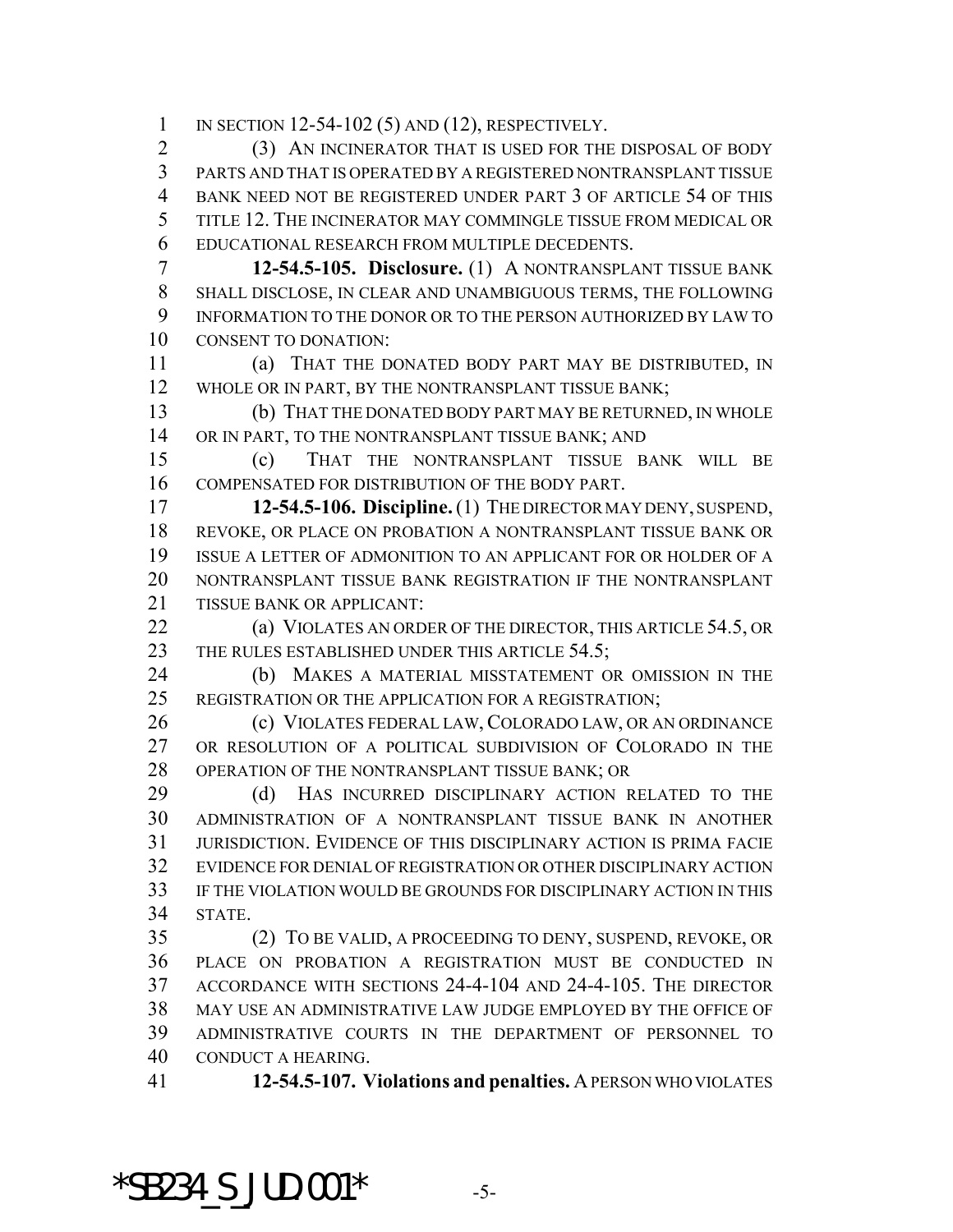IN SECTION 12-54-102 (5) AND (12), RESPECTIVELY.

 (3) AN INCINERATOR THAT IS USED FOR THE DISPOSAL OF BODY PARTS AND THAT IS OPERATED BY A REGISTERED NONTRANSPLANT TISSUE BANK NEED NOT BE REGISTERED UNDER PART 3 OF ARTICLE 54 OF THIS TITLE 12. THE INCINERATOR MAY COMMINGLE TISSUE FROM MEDICAL OR EDUCATIONAL RESEARCH FROM MULTIPLE DECEDENTS.

 **12-54.5-105. Disclosure.** (1) A NONTRANSPLANT TISSUE BANK SHALL DISCLOSE, IN CLEAR AND UNAMBIGUOUS TERMS, THE FOLLOWING INFORMATION TO THE DONOR OR TO THE PERSON AUTHORIZED BY LAW TO CONSENT TO DONATION:

 (a) THAT THE DONATED BODY PART MAY BE DISTRIBUTED, IN WHOLE OR IN PART, BY THE NONTRANSPLANT TISSUE BANK;

 (b) THAT THE DONATED BODY PART MAY BE RETURNED, IN WHOLE 14 OR IN PART, TO THE NONTRANSPLANT TISSUE BANK; AND

 (c) THAT THE NONTRANSPLANT TISSUE BANK WILL BE COMPENSATED FOR DISTRIBUTION OF THE BODY PART.

 **12-54.5-106. Discipline.** (1) THE DIRECTOR MAY DENY, SUSPEND, REVOKE, OR PLACE ON PROBATION A NONTRANSPLANT TISSUE BANK OR ISSUE A LETTER OF ADMONITION TO AN APPLICANT FOR OR HOLDER OF A NONTRANSPLANT TISSUE BANK REGISTRATION IF THE NONTRANSPLANT TISSUE BANK OR APPLICANT:

**(a) VIOLATES AN ORDER OF THE DIRECTOR, THIS ARTICLE 54.5, OR** 23 THE RULES ESTABLISHED UNDER THIS ARTICLE 54.5;

 (b) MAKES A MATERIAL MISSTATEMENT OR OMISSION IN THE REGISTRATION OR THE APPLICATION FOR A REGISTRATION;

26 (c) VIOLATES FEDERAL LAW, COLORADO LAW, OR AN ORDINANCE OR RESOLUTION OF A POLITICAL SUBDIVISION OF COLORADO IN THE OPERATION OF THE NONTRANSPLANT TISSUE BANK; OR

29 (d) HAS INCURRED DISCIPLINARY ACTION RELATED TO THE ADMINISTRATION OF A NONTRANSPLANT TISSUE BANK IN ANOTHER JURISDICTION. EVIDENCE OF THIS DISCIPLINARY ACTION IS PRIMA FACIE EVIDENCE FOR DENIAL OF REGISTRATION OR OTHER DISCIPLINARY ACTION IF THE VIOLATION WOULD BE GROUNDS FOR DISCIPLINARY ACTION IN THIS STATE.

 (2) TO BE VALID, A PROCEEDING TO DENY, SUSPEND, REVOKE, OR PLACE ON PROBATION A REGISTRATION MUST BE CONDUCTED IN ACCORDANCE WITH SECTIONS 24-4-104 AND 24-4-105. THE DIRECTOR MAY USE AN ADMINISTRATIVE LAW JUDGE EMPLOYED BY THE OFFICE OF ADMINISTRATIVE COURTS IN THE DEPARTMENT OF PERSONNEL TO CONDUCT A HEARING.

**12-54.5-107. Violations and penalties.** A PERSON WHO VIOLATES

 $*$ SB234 S JUD.001 $*$  -5-